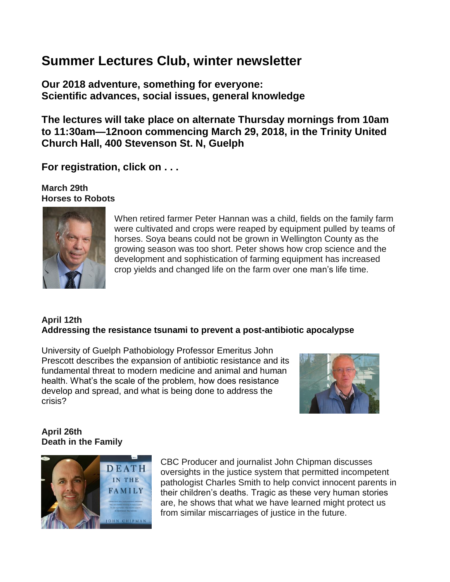# **Summer Lectures Club, winter newsletter**

**Our 2018 adventure, something for everyone: Scientific advances, social issues, general knowledge**

**The lectures will take place on alternate Thursday mornings from 10am to 11:30am—12noon commencing March 29, 2018, in the Trinity United Church Hall, 400 Stevenson St. N, Guelph**

**For registration, click on . . .**

**March 29th Horses to Robots**



When retired farmer Peter Hannan was a child, fields on the family farm were cultivated and crops were reaped by equipment pulled by teams of horses. Soya beans could not be grown in Wellington County as the growing season was too short. Peter shows how crop science and the development and sophistication of farming equipment has increased crop yields and changed life on the farm over one man's life time.

# **April 12th Addressing the resistance tsunami to prevent a post-antibiotic apocalypse**

University of Guelph Pathobiology Professor Emeritus John Prescott describes the expansion of antibiotic resistance and its fundamental threat to modern medicine and animal and human health. What's the scale of the problem, how does resistance develop and spread, and what is being done to address the crisis?



## **April 26th Death in the Family**



CBC Producer and journalist John Chipman discusses oversights in the justice system that permitted incompetent pathologist Charles Smith to help convict innocent parents in their children's deaths. Tragic as these very human stories are, he shows that what we have learned might protect us from similar miscarriages of justice in the future.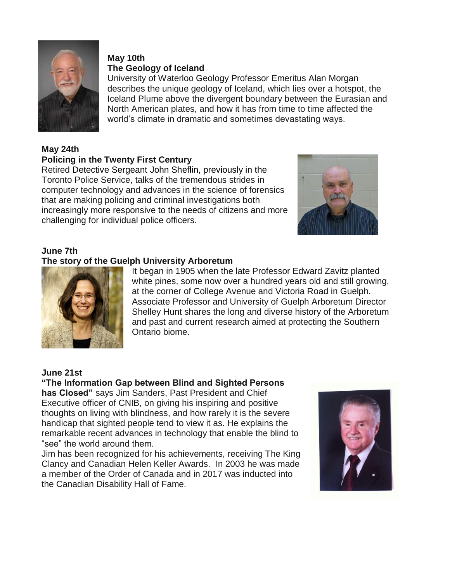

#### **May 10th The Geology of Iceland**

University of Waterloo Geology Professor Emeritus Alan Morgan describes the unique geology of Iceland, which lies over a hotspot, the Iceland Plume above the divergent boundary between the Eurasian and North American plates, and how it has from time to time affected the world's climate in dramatic and sometimes devastating ways.

# **May 24th**

## **Policing in the Twenty First Century**

Retired Detective Sergeant John Sheflin, previously in the Toronto Police Service, talks of the tremendous strides in computer technology and advances in the science of forensics that are making policing and criminal investigations both increasingly more responsive to the needs of citizens and more challenging for individual police officers.



# **June 7th**

## **The story of the Guelph University Arboretum**



It began in 1905 when the late Professor Edward Zavitz planted white pines, some now over a hundred years old and still growing, at the corner of College Avenue and Victoria Road in Guelph. Associate Professor and University of Guelph Arboretum Director Shelley Hunt shares the long and diverse history of the Arboretum and past and current research aimed at protecting the Southern Ontario biome.

## **June 21st**

**"The Information Gap between Blind and Sighted Persons has Closed"** says Jim Sanders, Past President and Chief Executive officer of CNIB, on giving his inspiring and positive thoughts on living with blindness, and how rarely it is the severe handicap that sighted people tend to view it as. He explains the remarkable recent advances in technology that enable the blind to "see" the world around them.

Jim has been recognized for his achievements, receiving The King Clancy and Canadian Helen Keller Awards. In 2003 he was made a member of the Order of Canada and in 2017 was inducted into the Canadian Disability Hall of Fame.

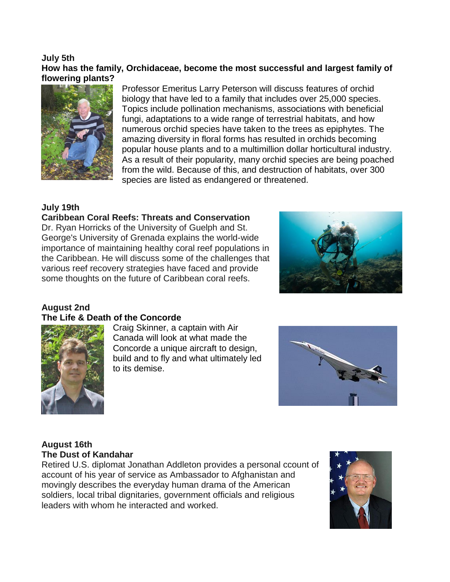#### **July 5th How has the family, Orchidaceae, become the most successful and largest family of flowering plants?**



Professor Emeritus Larry Peterson will discuss features of orchid biology that have led to a family that includes over 25,000 species. Topics include pollination mechanisms, associations with beneficial fungi, adaptations to a wide range of terrestrial habitats, and how numerous orchid species have taken to the trees as epiphytes. The amazing diversity in floral forms has resulted in orchids becoming popular house plants and to a multimillion dollar horticultural industry. As a result of their popularity, many orchid species are being poached from the wild. Because of this, and destruction of habitats, over 300 species are listed as endangered or threatened.

#### **July 19th**

# **Caribbean Coral Reefs: Threats and Conservation**

Dr. Ryan Horricks of the University of Guelph and St. George's University of Grenada explains the world-wide importance of maintaining healthy coral reef populations in the Caribbean. He will discuss some of the challenges that various reef recovery strategies have faced and provide some thoughts on the future of Caribbean coral reefs.



# **August 2nd**

#### **The Life & Death of the Concorde**



**Craig Skinner, a captain with Air Canada will look at what made the Concorde a unique aircraft to design, build and to fly and what ultimately led to its demise.**



#### **August 16th The Dust of Kandahar**

Retired U.S. diplomat Jonathan Addleton provides a personal ccount of account of his year of service as Ambassador to Afghanistan and movingly describes the everyday human drama of the American soldiers, local tribal dignitaries, government officials and religious leaders with whom he interacted and worked.